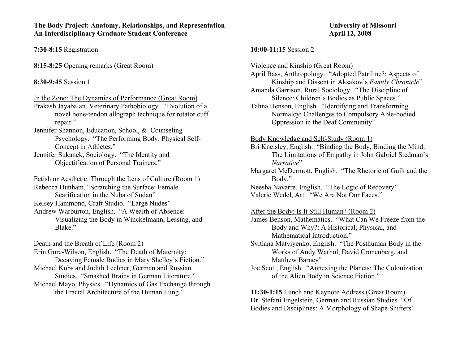#### **The Body Project: Anatomy, Relationships, and Representation The University of Missouri** An Interdisciplinary Graduate Student Conference **April 12, 2008**

**7:30-8:15** Registration

**8:15-8:25** Opening remarks (Great Room)

## **8:30-9:45** Session 1

In the Zone: The Dynamics of Performance (Great Room)

Prakash Jayabalan, Veterinary Pathobiology. "Evolution of a novel bone-tendon allograph technique for rotator cuff repair."

Jennifer Shannon, Education, School, & Counseling Psychology. "The Performing Body: Physical Self-Concept in Athletes."

Jennifer Sukanek, Sociology. "The Identity and Objectification of Personal Trainers."

Fetish or Aesthetic: Through the Lens of Culture (Room 1)

Rebecca Dunham, "Scratching the Surface: Female Scarification in the Nuba of Sudan"

Kelsey Hammond, Craft Studio. "Large Nudes"

Andrew Warburton, English. "A Wealth of Absence: Visualizing the Body in Winckelmann, Lessing, and Blake."

Death and the Breath of Life (Room 2)

Erin Gore-Wilson, English. "The Death of Maternity: Decaying Female Bodies in Mary Shelley's Fiction." Michael Kobs and Judith Lechner, German and Russian Studies. "Smashed Brains in German Literature." Michael Mayo, Physics. "Dynamics of Gas Exchange through the Fractal Architecture of the Human Lung."

#### **10:00-11:15** Session 2

Violence and Kinship (Great Room)

April Bass, Anthropology. "Adopted Patriline?: Aspects of Kinship and Dissent in Aksakov's *Family Chronicle*"

Amanda Garrison, Rural Sociology. "The Discipline of Silence: Children's Bodies as Public Spaces."

Tahna Henson, English. "Identifying and Transforming Normalcy: Challenges to Compulsory Able-bodied Oppression in the Deaf Community"

Body Knowledge and Self-Study (Room 1)

Bri Kneisley, English. "Binding the Body, Binding the Mind: The Limitations of Empathy in John Gabriel Stedman's *Narrative*"

Margaret McDermott, English. "The Rhetoric of Guilt and the Body."

Neesha Navarre, English. "The Logic of Recovery" Valerie Wedel, Art. "We Are Not Our Faces."

After the Body: Is It Still Human? (Room 2)

James Benson, Mathematics. "What Can We Freeze from the Body and Why?: A Historical, Physical, and Mathematical Introduction."

Svitlana Matviyenko, English. "The Posthuman Body in the Works of Andy Warhol, David Cronenberg, and Matthew Barney"

Joe Scott, English. "Annexing the Planets: The Colonization of the Alien Body in Science Fiction."

**11:30-1:15** Lunch and Keynote Address (Great Room) Dr. Stefani Engelstein, German and Russian Studies. "Of Bodies and Disciplines: A Morphology of Shape Shifters"